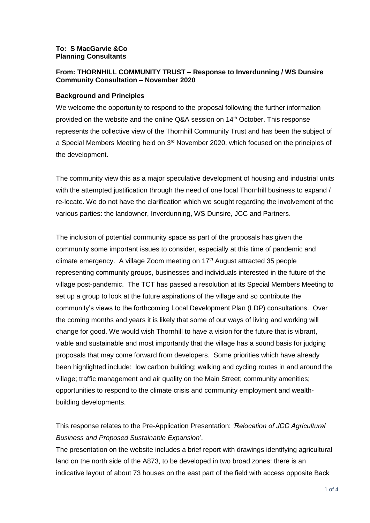#### **To: S MacGarvie &Co Planning Consultants**

# **From: THORNHILL COMMUNITY TRUST – Response to Inverdunning / WS Dunsire Community Consultation – November 2020**

### **Background and Principles**

We welcome the opportunity to respond to the proposal following the further information provided on the website and the online Q&A session on 14th October. This response represents the collective view of the Thornhill Community Trust and has been the subject of a Special Members Meeting held on 3<sup>rd</sup> November 2020, which focused on the principles of the development.

The community view this as a major speculative development of housing and industrial units with the attempted justification through the need of one local Thornhill business to expand / re-locate. We do not have the clarification which we sought regarding the involvement of the various parties: the landowner, Inverdunning, WS Dunsire, JCC and Partners.

The inclusion of potential community space as part of the proposals has given the community some important issues to consider, especially at this time of pandemic and climate emergency. A village Zoom meeting on 17<sup>th</sup> August attracted 35 people representing community groups, businesses and individuals interested in the future of the village post-pandemic. The TCT has passed a resolution at its Special Members Meeting to set up a group to look at the future aspirations of the village and so contribute the community's views to the forthcoming Local Development Plan (LDP) consultations. Over the coming months and years it is likely that some of our ways of living and working will change for good. We would wish Thornhill to have a vision for the future that is vibrant, viable and sustainable and most importantly that the village has a sound basis for judging proposals that may come forward from developers. Some priorities which have already been highlighted include: low carbon building; walking and cycling routes in and around the village; traffic management and air quality on the Main Street; community amenities; opportunities to respond to the climate crisis and community employment and wealthbuilding developments.

This response relates to the Pre-Application Presentation: *'Relocation of JCC Agricultural Business and Proposed Sustainable Expansion*'.

The presentation on the website includes a brief report with drawings identifying agricultural land on the north side of the A873, to be developed in two broad zones: there is an indicative layout of about 73 houses on the east part of the field with access opposite Back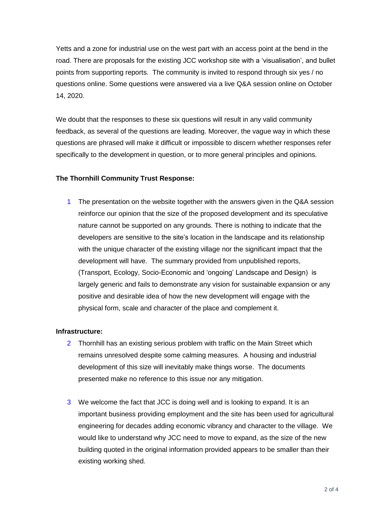Yetts and a zone for industrial use on the west part with an access point at the bend in the road. There are proposals for the existing JCC workshop site with a 'visualisation', and bullet points from supporting reports. The community is invited to respond through six yes / no questions online. Some questions were answered via a live Q&A session online on October 14, 2020.

We doubt that the responses to these six questions will result in any valid community feedback, as several of the questions are leading. Moreover, the vague way in which these questions are phrased will make it difficult or impossible to discern whether responses refer specifically to the development in question, or to more general principles and opinions.

## **The Thornhill Community Trust Response:**

1 The presentation on the website together with the answers given in the Q&A session reinforce our opinion that the size of the proposed development and its speculative nature cannot be supported on any grounds. There is nothing to indicate that the developers are sensitive to the site's location in the landscape and its relationship with the unique character of the existing village nor the significant impact that the development will have. The summary provided from unpublished reports, (Transport, Ecology, Socio-Economic and 'ongoing' Landscape and Design) is largely generic and fails to demonstrate any vision for sustainable expansion or any positive and desirable idea of how the new development will engage with the physical form, scale and character of the place and complement it.

## **Infrastructure:**

- 2 Thornhill has an existing serious problem with traffic on the Main Street which remains unresolved despite some calming measures. A housing and industrial development of this size will inevitably make things worse. The documents presented make no reference to this issue nor any mitigation.
- 3 We welcome the fact that JCC is doing well and is looking to expand. It is an important business providing employment and the site has been used for agricultural engineering for decades adding economic vibrancy and character to the village. We would like to understand why JCC need to move to expand, as the size of the new building quoted in the original information provided appears to be smaller than their existing working shed.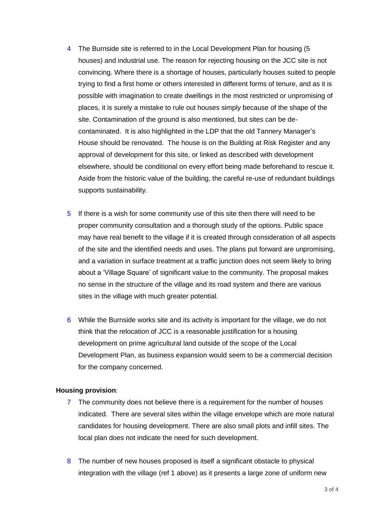- 4 The Burnside site is referred to in the Local Development Plan for housing (5 houses) and industrial use. The reason for rejecting housing on the JCC site is not convincing. Where there is a shortage of houses, particularly houses suited to people trying to find a first home or others interested in different forms of tenure, and as it is possible with imagination to create dwellings in the most restricted or unpromising of places, it is surely a mistake to rule out houses simply because of the shape of the site. Contamination of the ground is also mentioned, but sites can be decontaminated. It is also highlighted in the LDP that the old Tannery Manager's House should be renovated. The house is on the Building at Risk Register and any approval of development for this site, or linked as described with development elsewhere, should be conditional on every effort being made beforehand to rescue it. Aside from the historic value of the building, the careful re-use of redundant buildings supports sustainability.
- 5 If there is a wish for some community use of this site then there will need to be proper community consultation and a thorough study of the options. Public space may have real benefit to the village if it is created through consideration of all aspects of the site and the identified needs and uses. The plans put forward are unpromising, and a variation in surface treatment at a traffic junction does not seem likely to bring about a 'Village Square' of significant value to the community. The proposal makes no sense in the structure of the village and its road system and there are various sites in the village with much greater potential.
- 6 While the Burnside works site and its activity is important for the village, we do not think that the relocation of JCC is a reasonable justification for a housing development on prime agricultural land outside of the scope of the Local Development Plan, as business expansion would seem to be a commercial decision for the company concerned.

#### **Housing provision**:

- 7 The community does not believe there is a requirement for the number of houses indicated. There are several sites within the village envelope which are more natural candidates for housing development. There are also small plots and infill sites. The local plan does not indicate the need for such development.
- 8 The number of new houses proposed is itself a significant obstacle to physical integration with the village (ref 1 above) as it presents a large zone of uniform new